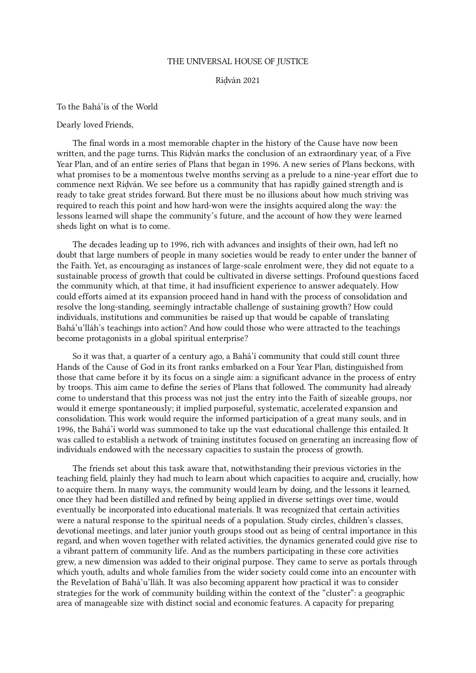## THE UNIVERSAL HOUSE OF JUSTICE

## Riḍván 2021

To the Bahá'ís of the World

## Dearly loved Friends,

The final words in a most memorable chapter in the history of the Cause have now been written, and the page turns. This Ridván marks the conclusion of an extraordinary year, of a Five Year Plan, and of an entire series of Plans that began in 1996. A new series of Plans beckons, with what promises to be a momentous twelve months serving as a prelude to a nine-year effort due to commence next Riḍván. We see before us a community that has rapidly gained strength and is ready to take great strides forward. But there must be no illusions about how much striving was required to reach this point and how hard-won were the insights acquired along the way: the lessons learned will shape the community's future, and the account of how they were learned sheds light on what is to come.

The decades leading up to 1996, rich with advances and insights of their own, had left no doubt that large numbers of people in many societies would be ready to enter under the banner of the Faith. Yet, as encouraging as instances of large-scale enrolment were, they did not equate to a sustainable process of growth that could be cultivated in diverse settings. Profound questions faced the community which, at that time, it had insufficient experience to answer adequately. How could efforts aimed at its expansion proceed hand in hand with the process of consolidation and resolve the long-standing, seemingly intractable challenge of sustaining growth? How could individuals, institutions and communities be raised up that would be capable of translating Bahá'u'lláh's teachings into action? And how could those who were attracted to the teachings become protagonists in a global spiritual enterprise?

So it was that, a quarter of a century ago, a Bahá'í community that could still count three Hands of the Cause of God in its front ranks embarked on a Four Year Plan, distinguished from those that came before it by its focus on a single aim: a significant advance in the process of entry by troops. This aim came to define the series of Plans that followed. The community had already come to understand that this process was not just the entry into the Faith of sizeable groups, nor would it emerge spontaneously; it implied purposeful, systematic, accelerated expansion and consolidation. This work would require the informed participation of a great many souls, and in 1996, the Bahá'í world was summoned to take up the vast educational challenge this entailed. It was called to establish a network of training institutes focused on generating an increasing flow of individuals endowed with the necessary capacities to sustain the process of growth.

The friends set about this task aware that, notwithstanding their previous victories in the teaching field, plainly they had much to learn about which capacities to acquire and, crucially, how to acquire them. In many ways, the community would learn by doing, and the lessons it learned, once they had been distilled and refined by being applied in diverse settings over time, would eventually be incorporated into educational materials. It was recognized that certain activities were a natural response to the spiritual needs of a population. Study circles, children's classes, devotional meetings, and later junior youth groups stood out as being of central importance in this regard, and when woven together with related activities, the dynamics generated could give rise to a vibrant pattern of community life. And as the numbers participating in these core activities grew, a new dimension was added to their original purpose. They came to serve as portals through which youth, adults and whole families from the wider society could come into an encounter with the Revelation of Bahá'u'lláh. It was also becoming apparent how practical it was to consider strategies for the work of community building within the context of the "cluster": a geographic area of manageable size with distinct social and economic features. A capacity for preparing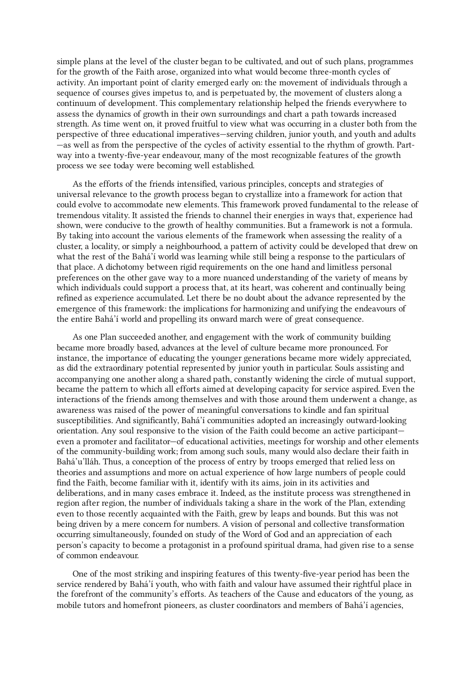simple plans at the level of the cluster began to be cultivated, and out of such plans, programmes for the growth of the Faith arose, organized into what would become three-month cycles of activity. An important point of clarity emerged early on: the movement of individuals through a sequence of courses gives impetus to, and is perpetuated by, the movement of clusters along a continuum of development. This complementary relationship helped the friends everywhere to assess the dynamics of growth in their own surroundings and chart a path towards increased strength. As time went on, it proved fruitful to view what was occurring in a cluster both from the perspective of three educational imperatives—serving children, junior youth, and youth and adults —as well as from the perspective of the cycles of activity essential to the rhythm of growth. Partway into a twenty-five-year endeavour, many of the most recognizable features of the growth process we see today were becoming well established.

As the efforts of the friends intensified, various principles, concepts and strategies of universal relevance to the growth process began to crystallize into a framework for action that could evolve to accommodate new elements. This framework proved fundamental to the release of tremendous vitality. It assisted the friends to channel their energies in ways that, experience had shown, were conducive to the growth of healthy communities. But a framework is not a formula. By taking into account the various elements of the framework when assessing the reality of a cluster, a locality, or simply a neighbourhood, a pattern of activity could be developed that drew on what the rest of the Bahá'í world was learning while still being a response to the particulars of that place. A dichotomy between rigid requirements on the one hand and limitless personal preferences on the other gave way to a more nuanced understanding of the variety of means by which individuals could support a process that, at its heart, was coherent and continually being refined as experience accumulated. Let there be no doubt about the advance represented by the emergence of this framework: the implications for harmonizing and unifying the endeavours of the entire Bahá'í world and propelling its onward march were of great consequence.

As one Plan succeeded another, and engagement with the work of community building became more broadly based, advances at the level of culture became more pronounced. For instance, the importance of educating the younger generations became more widely appreciated, as did the extraordinary potential represented by junior youth in particular. Souls assisting and accompanying one another along a shared path, constantly widening the circle of mutual support, became the pattern to which all efforts aimed at developing capacity for service aspired. Even the interactions of the friends among themselves and with those around them underwent a change, as awareness was raised of the power of meaningful conversations to kindle and fan spiritual susceptibilities. And significantly, Bahá'í communities adopted an increasingly outward-looking orientation. Any soul responsive to the vision of the Faith could become an active participant even a promoter and facilitator—of educational activities, meetings for worship and other elements of the community-building work; from among such souls, many would also declare their faith in Bahá'u'lláh. Thus, a conception of the process of entry by troops emerged that relied less on theories and assumptions and more on actual experience of how large numbers of people could find the Faith, become familiar with it, identify with its aims, join in its activities and deliberations, and in many cases embrace it. Indeed, as the institute process was strengthened in region after region, the number of individuals taking a share in the work of the Plan, extending even to those recently acquainted with the Faith, grew by leaps and bounds. But this was not being driven by a mere concern for numbers. A vision of personal and collective transformation occurring simultaneously, founded on study of the Word of God and an appreciation of each person's capacity to become a protagonist in a profound spiritual drama, had given rise to a sense of common endeavour.

One of the most striking and inspiring features of this twenty-five-year period has been the service rendered by Bahá'í youth, who with faith and valour have assumed their rightful place in the forefront of the community's efforts. As teachers of the Cause and educators of the young, as mobile tutors and homefront pioneers, as cluster coordinators and members of Bahá'í agencies,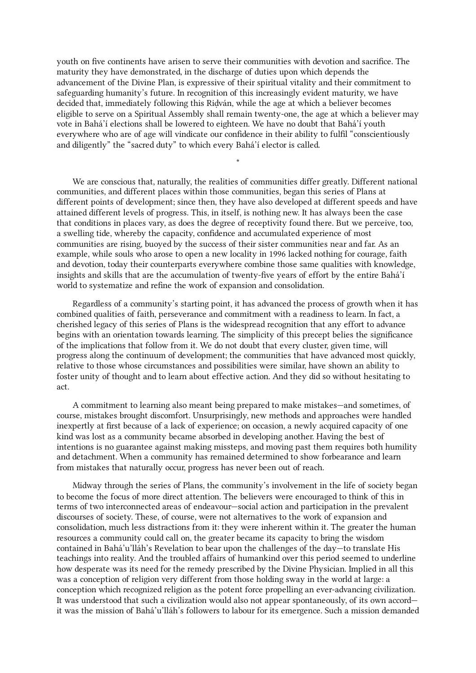youth on five continents have arisen to serve their communities with devotion and sacrifice. The maturity they have demonstrated, in the discharge of duties upon which depends the advancement of the Divine Plan, is expressive of their spiritual vitality and their commitment to safeguarding humanity's future. In recognition of this increasingly evident maturity, we have decided that, immediately following this Riḍván, while the age at which a believer becomes eligible to serve on a Spiritual Assembly shall remain twenty-one, the age at which a believer may vote in Bahá'í elections shall be lowered to eighteen. We have no doubt that Bahá'í youth everywhere who are of age will vindicate our confidence in their ability to fulfil "conscientiously and diligently" the "sacred duty" to which every Bahá'í elector is called.

\*

We are conscious that, naturally, the realities of communities differ greatly. Different national communities, and different places within those communities, began this series of Plans at different points of development; since then, they have also developed at different speeds and have attained different levels of progress. This, in itself, is nothing new. It has always been the case that conditions in places vary, as does the degree of receptivity found there. But we perceive, too, a swelling tide, whereby the capacity, confidence and accumulated experience of most communities are rising, buoyed by the success of their sister communities near and far. As an example, while souls who arose to open a new locality in 1996 lacked nothing for courage, faith and devotion, today their counterparts everywhere combine those same qualities with knowledge, insights and skills that are the accumulation of twenty-five years of effort by the entire Bahá'í world to systematize and refine the work of expansion and consolidation.

Regardless of a community's starting point, it has advanced the process of growth when it has combined qualities of faith, perseverance and commitment with a readiness to learn. In fact, a cherished legacy of this series of Plans is the widespread recognition that any effort to advance begins with an orientation towards learning. The simplicity of this precept belies the significance of the implications that follow from it. We do not doubt that every cluster, given time, will progress along the continuum of development; the communities that have advanced most quickly, relative to those whose circumstances and possibilities were similar, have shown an ability to foster unity of thought and to learn about effective action. And they did so without hesitating to act.

A commitment to learning also meant being prepared to make mistakes—and sometimes, of course, mistakes brought discomfort. Unsurprisingly, new methods and approaches were handled inexpertly at first because of a lack of experience; on occasion, a newly acquired capacity of one kind was lost as a community became absorbed in developing another. Having the best of intentions is no guarantee against making missteps, and moving past them requires both humility and detachment. When a community has remained determined to show forbearance and learn from mistakes that naturally occur, progress has never been out of reach.

Midway through the series of Plans, the community's involvement in the life of society began to become the focus of more direct attention. The believers were encouraged to think of this in terms of two interconnected areas of endeavour—social action and participation in the prevalent discourses of society. These, of course, were not alternatives to the work of expansion and consolidation, much less distractions from it: they were inherent within it. The greater the human resources a community could call on, the greater became its capacity to bring the wisdom contained in Bahá'u'lláh's Revelation to bear upon the challenges of the day—to translate His teachings into reality. And the troubled affairs of humankind over this period seemed to underline how desperate was its need for the remedy prescribed by the Divine Physician. Implied in all this was a conception of religion very different from those holding sway in the world at large: a conception which recognized religion as the potent force propelling an ever-advancing civilization. It was understood that such a civilization would also not appear spontaneously, of its own accord it was the mission of Bahá'u'lláh's followers to labour for its emergence. Such a mission demanded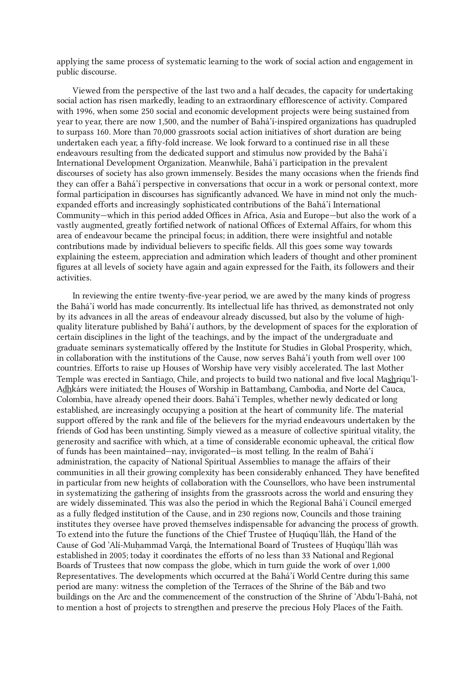applying the same process of systematic learning to the work of social action and engagement in public discourse.

Viewed from the perspective of the last two and a half decades, the capacity for undertaking social action has risen markedly, leading to an extraordinary efflorescence of activity. Compared with 1996, when some 250 social and economic development projects were being sustained from year to year, there are now 1,500, and the number of Bahá'í-inspired organizations has quadrupled to surpass 160. More than 70,000 grassroots social action initiatives of short duration are being undertaken each year, a fifty-fold increase. We look forward to a continued rise in all these endeavours resulting from the dedicated support and stimulus now provided by the Bahá'í International Development Organization. Meanwhile, Bahá'í participation in the prevalent discourses of society has also grown immensely. Besides the many occasions when the friends find they can offer a Bahá'í perspective in conversations that occur in a work or personal context, more formal participation in discourses has significantly advanced. We have in mind not only the muchexpanded efforts and increasingly sophisticated contributions of the Bahá'í International Community—which in this period added Offices in Africa, Asia and Europe—but also the work of a vastly augmented, greatly fortified network of national Offices of External Affairs, for whom this area of endeavour became the principal focus; in addition, there were insightful and notable contributions made by individual believers to specific fields. All this goes some way towards explaining the esteem, appreciation and admiration which leaders of thought and other prominent figures at all levels of society have again and again expressed for the Faith, its followers and their activities.

In reviewing the entire twenty-five-year period, we are awed by the many kinds of progress the Bahá'í world has made concurrently. Its intellectual life has thrived, as demonstrated not only by its advances in all the areas of endeavour already discussed, but also by the volume of highquality literature published by Bahá'í authors, by the development of spaces for the exploration of certain disciplines in the light of the teachings, and by the impact of the undergraduate and graduate seminars systematically offered by the Institute for Studies in Global Prosperity, which, in collaboration with the institutions of the Cause, now serves Bahá'í youth from well over 100 countries. Efforts to raise up Houses of Worship have very visibly accelerated. The last Mother Temple was erected in Santiago, Chile, and projects to build two national and five local Mashriqu'l-Adhkárs were initiated; the Houses of Worship in Battambang, Cambodia, and Norte del Cauca, Colombia, have already opened their doors. Bahá'í Temples, whether newly dedicated or long established, are increasingly occupying a position at the heart of community life. The material support offered by the rank and file of the believers for the myriad endeavours undertaken by the friends of God has been unstinting. Simply viewed as a measure of collective spiritual vitality, the generosity and sacrifice with which, at a time of considerable economic upheaval, the critical flow of funds has been maintained—nay, invigorated—is most telling. In the realm of Bahá'í administration, the capacity of National Spiritual Assemblies to manage the affairs of their communities in all their growing complexity has been considerably enhanced. They have benefited in particular from new heights of collaboration with the Counsellors, who have been instrumental in systematizing the gathering of insights from the grassroots across the world and ensuring they are widely disseminated. This was also the period in which the Regional Bahá'í Council emerged as a fully fledged institution of the Cause, and in 230 regions now, Councils and those training institutes they oversee have proved themselves indispensable for advancing the process of growth. To extend into the future the functions of the Chief Trustee of Ḥuqúqu'lláh, the Hand of the Cause of God 'Alí-Muḥammad Varqá, the International Board of Trustees of Ḥuqúqu'lláh was established in 2005; today it coordinates the efforts of no less than 33 National and Regional Boards of Trustees that now compass the globe, which in turn guide the work of over 1,000 Representatives. The developments which occurred at the Bahá'í World Centre during this same period are many: witness the completion of the Terraces of the Shrine of the Báb and two buildings on the Arc and the commencement of the construction of the Shrine of 'Abdu'l-Bahá, not to mention a host of projects to strengthen and preserve the precious Holy Places of the Faith.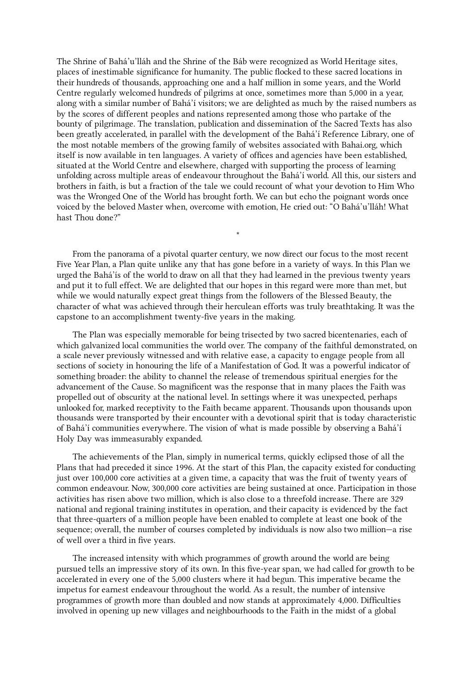The Shrine of Bahá'u'lláh and the Shrine of the Báb were recognized as World Heritage sites, places of inestimable significance for humanity. The public flocked to these sacred locations in their hundreds of thousands, approaching one and a half million in some years, and the World Centre regularly welcomed hundreds of pilgrims at once, sometimes more than 5,000 in a year, along with a similar number of Bahá'í visitors; we are delighted as much by the raised numbers as by the scores of different peoples and nations represented among those who partake of the bounty of pilgrimage. The translation, publication and dissemination of the Sacred Texts has also been greatly accelerated, in parallel with the development of the Bahá'í Reference Library, one of the most notable members of the growing family of websites associated with Bahai.org, which itself is now available in ten languages. A variety of offices and agencies have been established, situated at the World Centre and elsewhere, charged with supporting the process of learning unfolding across multiple areas of endeavour throughout the Bahá'í world. All this, our sisters and brothers in faith, is but a fraction of the tale we could recount of what your devotion to Him Who was the Wronged One of the World has brought forth. We can but echo the poignant words once voiced by the beloved Master when, overcome with emotion, He cried out: "O Bahá'u'lláh! What hast Thou done?"

From the panorama of a pivotal quarter century, we now direct our focus to the most recent Five Year Plan, a Plan quite unlike any that has gone before in a variety of ways. In this Plan we urged the Bahá'ís of the world to draw on all that they had learned in the previous twenty years and put it to full effect. We are delighted that our hopes in this regard were more than met, but while we would naturally expect great things from the followers of the Blessed Beauty, the character of what was achieved through their herculean efforts was truly breathtaking. It was the capstone to an accomplishment twenty-five years in the making.

\*

The Plan was especially memorable for being trisected by two sacred bicentenaries, each of which galvanized local communities the world over. The company of the faithful demonstrated, on a scale never previously witnessed and with relative ease, a capacity to engage people from all sections of society in honouring the life of a Manifestation of God. It was a powerful indicator of something broader: the ability to channel the release of tremendous spiritual energies for the advancement of the Cause. So magnificent was the response that in many places the Faith was propelled out of obscurity at the national level. In settings where it was unexpected, perhaps unlooked for, marked receptivity to the Faith became apparent. Thousands upon thousands upon thousands were transported by their encounter with a devotional spirit that is today characteristic of Bahá'í communities everywhere. The vision of what is made possible by observing a Bahá'í Holy Day was immeasurably expanded.

The achievements of the Plan, simply in numerical terms, quickly eclipsed those of all the Plans that had preceded it since 1996. At the start of this Plan, the capacity existed for conducting just over 100,000 core activities at a given time, a capacity that was the fruit of twenty years of common endeavour. Now, 300,000 core activities are being sustained at once. Participation in those activities has risen above two million, which is also close to a threefold increase. There are 329 national and regional training institutes in operation, and their capacity is evidenced by the fact that three-quarters of a million people have been enabled to complete at least one book of the sequence; overall, the number of courses completed by individuals is now also two million—a rise of well over a third in five years.

The increased intensity with which programmes of growth around the world are being pursued tells an impressive story of its own. In this five-year span, we had called for growth to be accelerated in every one of the 5,000 clusters where it had begun. This imperative became the impetus for earnest endeavour throughout the world. As a result, the number of intensive programmes of growth more than doubled and now stands at approximately 4,000. Difficulties involved in opening up new villages and neighbourhoods to the Faith in the midst of a global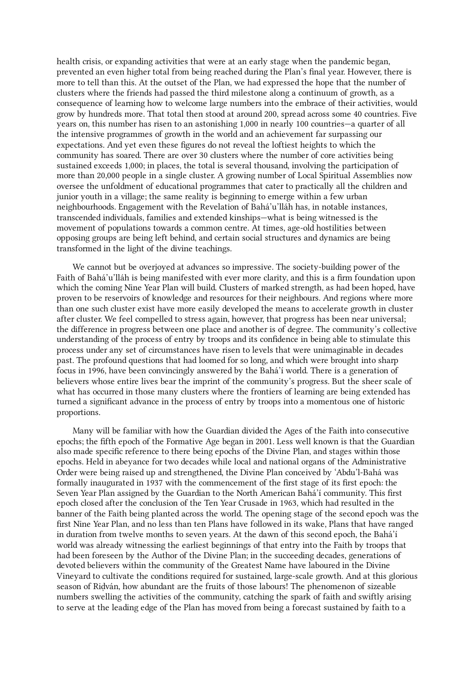health crisis, or expanding activities that were at an early stage when the pandemic began, prevented an even higher total from being reached during the Plan's final year. However, there is more to tell than this. At the outset of the Plan, we had expressed the hope that the number of clusters where the friends had passed the third milestone along a continuum of growth, as a consequence of learning how to welcome large numbers into the embrace of their activities, would grow by hundreds more. That total then stood at around 200, spread across some 40 countries. Five years on, this number has risen to an astonishing 1,000 in nearly 100 countries—a quarter of all the intensive programmes of growth in the world and an achievement far surpassing our expectations. And yet even these figures do not reveal the loftiest heights to which the community has soared. There are over 30 clusters where the number of core activities being sustained exceeds 1,000; in places, the total is several thousand, involving the participation of more than 20,000 people in a single cluster. A growing number of Local Spiritual Assemblies now oversee the unfoldment of educational programmes that cater to practically all the children and junior youth in a village; the same reality is beginning to emerge within a few urban neighbourhoods. Engagement with the Revelation of Bahá'u'lláh has, in notable instances, transcended individuals, families and extended kinships—what is being witnessed is the movement of populations towards a common centre. At times, age-old hostilities between opposing groups are being left behind, and certain social structures and dynamics are being transformed in the light of the divine teachings.

We cannot but be overjoyed at advances so impressive. The society-building power of the Faith of Bahá'u'lláh is being manifested with ever more clarity, and this is a firm foundation upon which the coming Nine Year Plan will build. Clusters of marked strength, as had been hoped, have proven to be reservoirs of knowledge and resources for their neighbours. And regions where more than one such cluster exist have more easily developed the means to accelerate growth in cluster after cluster. We feel compelled to stress again, however, that progress has been near universal; the difference in progress between one place and another is of degree. The community's collective understanding of the process of entry by troops and its confidence in being able to stimulate this process under any set of circumstances have risen to levels that were unimaginable in decades past. The profound questions that had loomed for so long, and which were brought into sharp focus in 1996, have been convincingly answered by the Bahá'í world. There is a generation of believers whose entire lives bear the imprint of the community's progress. But the sheer scale of what has occurred in those many clusters where the frontiers of learning are being extended has turned a significant advance in the process of entry by troops into a momentous one of historic proportions.

Many will be familiar with how the Guardian divided the Ages of the Faith into consecutive epochs; the fifth epoch of the Formative Age began in 2001. Less well known is that the Guardian also made specific reference to there being epochs of the Divine Plan, and stages within those epochs. Held in abeyance for two decades while local and national organs of the Administrative Order were being raised up and strengthened, the Divine Plan conceived by 'Abdu'l-Bahá was formally inaugurated in 1937 with the commencement of the first stage of its first epoch: the Seven Year Plan assigned by the Guardian to the North American Bahá'í community. This first epoch closed after the conclusion of the Ten Year Crusade in 1963, which had resulted in the banner of the Faith being planted across the world. The opening stage of the second epoch was the first Nine Year Plan, and no less than ten Plans have followed in its wake, Plans that have ranged in duration from twelve months to seven years. At the dawn of this second epoch, the Bahá'í world was already witnessing the earliest beginnings of that entry into the Faith by troops that had been foreseen by the Author of the Divine Plan; in the succeeding decades, generations of devoted believers within the community of the Greatest Name have laboured in the Divine Vineyard to cultivate the conditions required for sustained, large-scale growth. And at this glorious season of Riḍván, how abundant are the fruits of those labours! The phenomenon of sizeable numbers swelling the activities of the community, catching the spark of faith and swiftly arising to serve at the leading edge of the Plan has moved from being a forecast sustained by faith to a